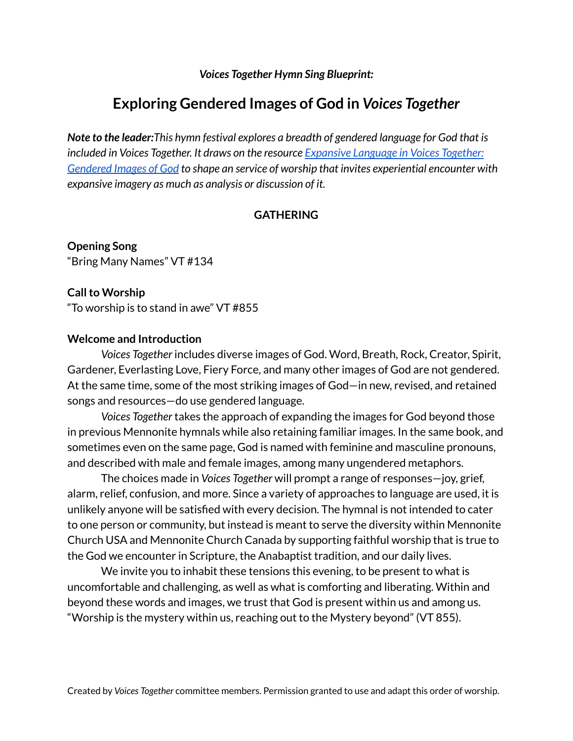*Voices Together Hymn Sing Blueprint:*

# **Exploring Gendered Images of God in** *Voices Together*

*Note to the leader:This hymn festival explores a breadth of gendered language for God that is included in Voices Together. It draws on the resource [Expansive](http://voicestogetherhymnal.org/wp-content/uploads/2020/10/Expansive-Language-in-VT-2.pdf) Language in Voices Together: [Gendered](http://voicestogetherhymnal.org/wp-content/uploads/2020/10/Expansive-Language-in-VT-2.pdf) Images of God to shape an service of worship that invites experiential encounter with expansive imagery as much as analysis or discussion of it.*

## **GATHERING**

**Opening Song** "Bring Many Names" VT #134

**Call to Worship** "To worship is to stand in awe" VT #855

#### **Welcome and Introduction**

*Voices Together* includes diverse images of God. Word, Breath, Rock, Creator, Spirit, Gardener, Everlasting Love, Fiery Force, and many other images of God are not gendered. At the same time, some of the most striking images of God—in new, revised, and retained songs and resources—do use gendered language.

*Voices Together* takes the approach of expanding the images for God beyond those in previous Mennonite hymnals while also retaining familiar images. In the same book, and sometimes even on the same page, God is named with feminine and masculine pronouns, and described with male and female images, among many ungendered metaphors.

The choices made in *Voices Together* will prompt a range of responses—joy, grief, alarm, relief, confusion, and more. Since a variety of approaches to language are used, it is unlikely anyone will be satisfied with every decision. The hymnal is not intended to cater to one person or community, but instead is meant to serve the diversity within Mennonite Church USA and Mennonite Church Canada by supporting faithful worship that is true to the God we encounter in Scripture, the Anabaptist tradition, and our daily lives.

We invite you to inhabit these tensions this evening, to be present to what is uncomfortable and challenging, as well as what is comforting and liberating. Within and beyond these words and images, we trust that God is present within us and among us. "Worship is the mystery within us, reaching out to the Mystery beyond" (VT 855).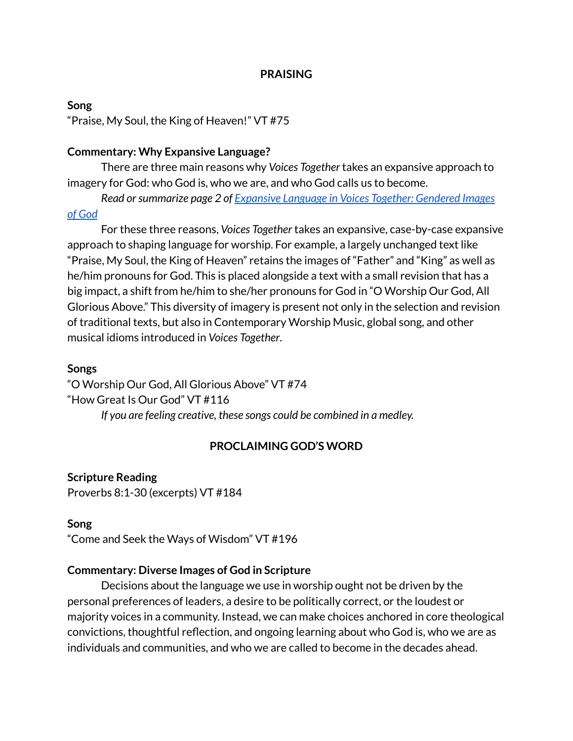#### **PRAISING**

#### **Song**

"Praise, My Soul, the King of Heaven!" VT #75

#### **Commentary: Why Expansive Language?**

There are three main reasons why *Voices Together* takes an expansive approach to imagery for God: who God is, who we are, and who God calls us to become.

*Read orsummarize page 2 of [Expansive](http://voicestogetherhymnal.org/wp-content/uploads/2020/10/Expansive-Language-in-VT-2.pdf) Language in Voices Together: Gendered Images of [God](http://voicestogetherhymnal.org/wp-content/uploads/2020/10/Expansive-Language-in-VT-2.pdf)*

For these three reasons, *Voices Together* takes an expansive, case-by-case expansive approach to shaping language for worship. For example, a largely unchanged text like "Praise, My Soul, the King of Heaven" retains the images of "Father" and "King" as well as he/him pronouns for God. This is placed alongside a text with a small revision that has a big impact, a shift from he/him to she/her pronouns for God in "O Worship Our God, All Glorious Above." This diversity of imagery is present not only in the selection and revision of traditional texts, but also in Contemporary Worship Music, global song, and other musical idioms introduced in *Voices Together*.

#### **Songs**

"O Worship Our God, All Glorious Above" VT #74 "How Great Is Our God" VT #116

*If you are feeling creative, these songs could be combined in a medley.*

#### **PROCLAIMING GOD'S WORD**

#### **Scripture Reading**

Proverbs 8:1-30 (excerpts) VT #184

#### **Song**

"Come and Seek the Ways of Wisdom" VT #196

#### **Commentary: Diverse Images of God in Scripture**

Decisions about the language we use in worship ought not be driven by the personal preferences of leaders, a desire to be politically correct, or the loudest or majority voices in a community. Instead, we can make choices anchored in core theological convictions, thoughtful reflection, and ongoing learning about who God is, who we are as individuals and communities, and who we are called to become in the decades ahead.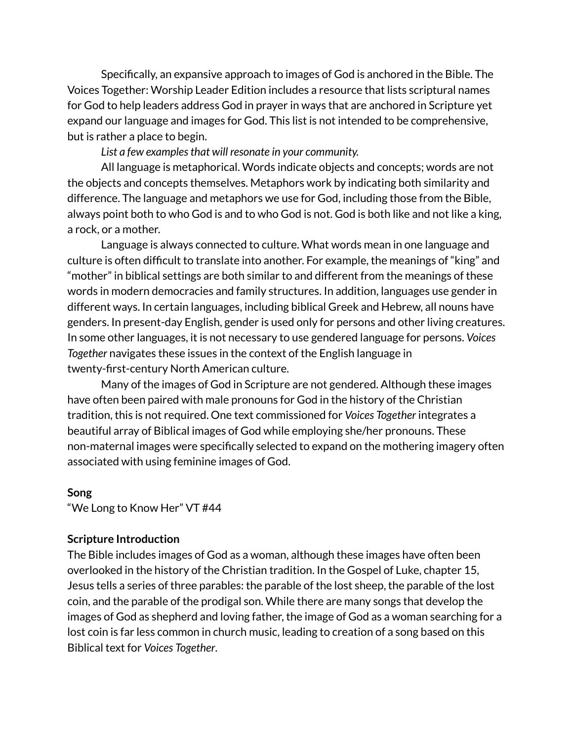Specifically, an expansive approach to images of God is anchored in the Bible. The Voices Together: Worship Leader Edition includes a resource that lists scriptural names for God to help leaders address God in prayer in ways that are anchored in Scripture yet expand our language and images for God. This list is not intended to be comprehensive, but is rather a place to begin.

*List a few examplesthat will resonate in your community.*

All language is metaphorical. Words indicate objects and concepts; words are not the objects and concepts themselves. Metaphors work by indicating both similarity and difference. The language and metaphors we use for God, including those from the Bible, always point both to who God is and to who God is not. God is both like and not like a king, a rock, or a mother.

Language is always connected to culture. What words mean in one language and culture is often difficult to translate into another. For example, the meanings of "king" and "mother" in biblical settings are both similar to and different from the meanings of these words in modern democracies and family structures. In addition, languages use gender in different ways. In certain languages, including biblical Greek and Hebrew, all nouns have genders. In present-day English, gender is used only for persons and other living creatures. In some other languages, it is not necessary to use gendered language for persons. *Voices Together* navigates these issues in the context of the English language in twenty-first-century North American culture.

Many of the images of God in Scripture are not gendered. Although these images have often been paired with male pronouns for God in the history of the Christian tradition, this is not required. One text commissioned for *Voices Together* integrates a beautiful array of Biblical images of God while employing she/her pronouns. These non-maternal images were specifically selected to expand on the mothering imagery often associated with using feminine images of God.

#### **Song**

"We Long to Know Her" VT #44

#### **Scripture Introduction**

The Bible includes images of God as a woman, although these images have often been overlooked in the history of the Christian tradition. In the Gospel of Luke, chapter 15, Jesus tells a series of three parables: the parable of the lost sheep, the parable of the lost coin, and the parable of the prodigal son. While there are many songs that develop the images of God as shepherd and loving father, the image of God as a woman searching for a lost coin is far less common in church music, leading to creation of a song based on this Biblical text for *Voices Together*.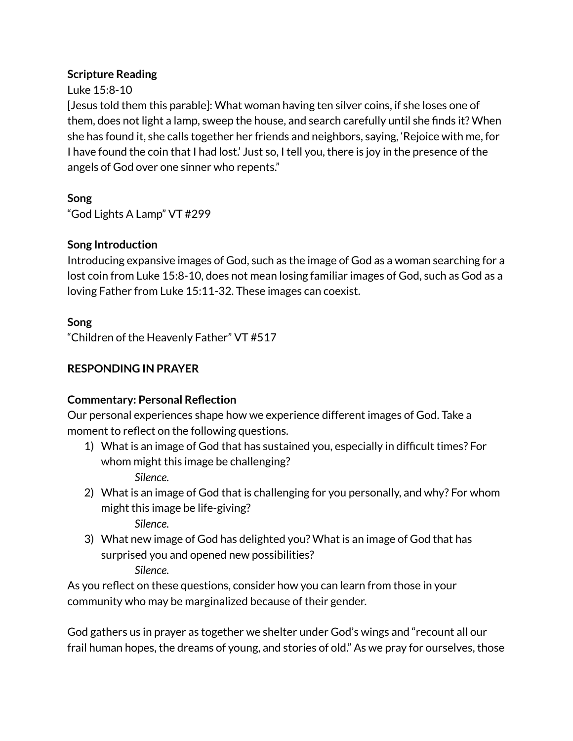## **Scripture Reading**

## Luke 15:8-10

[Jesus told them this parable]: What woman having ten silver coins, if she loses one of them, does not light a lamp, sweep the house, and search carefully until she finds it? When she has found it, she calls together her friends and neighbors, saying, 'Rejoice with me, for I have found the coin that I had lost.' Just so, I tell you, there is joy in the presence of the angels of God over one sinner who repents."

**Song**

"God Lights A Lamp" VT #299

## **Song Introduction**

Introducing expansive images of God, such as the image of God as a woman searching for a lost coin from Luke 15:8-10, does not mean losing familiar images of God, such as God as a loving Father from Luke 15:11-32. These images can coexist.

## **Song**

"Children of the Heavenly Father" VT #517

## **RESPONDING IN PRAYER**

## **Commentary: Personal Reflection**

Our personal experiences shape how we experience different images of God. Take a moment to reflect on the following questions.

- 1) What is an image of God that has sustained you, especially in difficult times? For whom might this image be challenging?
	- *Silence.*
- 2) What is an image of God that is challenging for you personally, and why? For whom might this image be life-giving?

*Silence.*

3) What new image of God has delighted you? What is an image of God that has surprised you and opened new possibilities?

*Silence.*

As you reflect on these questions, consider how you can learn from those in your community who may be marginalized because of their gender.

God gathers us in prayer as together we shelter under God's wings and "recount all our frail human hopes, the dreams of young, and stories of old." As we pray for ourselves, those